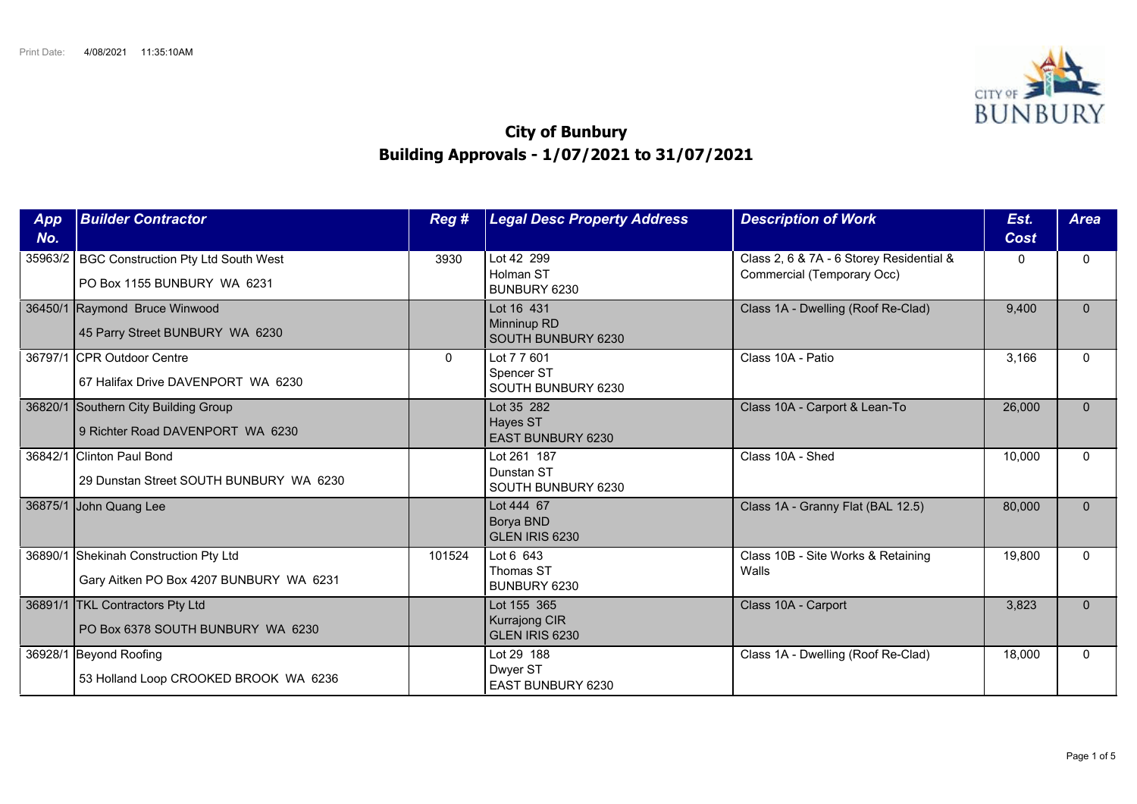

## **City of Bunbury Building Approvals - 1/07/2021 to 31/07/2021**

| App<br>No. | <b>Builder Contractor</b>                                                        | Reg #        | <b>Legal Desc Property Address</b>                    | <b>Description of Work</b>                                             | Est.<br>Cost | <b>Area</b>  |
|------------|----------------------------------------------------------------------------------|--------------|-------------------------------------------------------|------------------------------------------------------------------------|--------------|--------------|
| 35963/2    | BGC Construction Pty Ltd South West<br>PO Box 1155 BUNBURY WA 6231               | 3930         | Lot 42 299<br>Holman ST<br>BUNBURY 6230               | Class 2, 6 & 7A - 6 Storey Residential &<br>Commercial (Temporary Occ) | 0            | $\Omega$     |
|            | 36450/1 Raymond Bruce Winwood<br>45 Parry Street BUNBURY WA 6230                 |              | Lot 16 431<br>Minninup RD<br>SOUTH BUNBURY 6230       | Class 1A - Dwelling (Roof Re-Clad)                                     | 9.400        | $\mathbf{0}$ |
| 36797/1    | <b>ICPR Outdoor Centre</b><br>67 Halifax Drive DAVENPORT WA 6230                 | $\mathbf{0}$ | Lot 7 7 601<br>Spencer ST<br>SOUTH BUNBURY 6230       | Class 10A - Patio                                                      | 3,166        | $\Omega$     |
| 36820/1    | Southern City Building Group<br>9 Richter Road DAVENPORT WA 6230                 |              | Lot 35 282<br>Hayes ST<br><b>EAST BUNBURY 6230</b>    | Class 10A - Carport & Lean-To                                          | 26,000       | $\Omega$     |
| 36842/1    | <b>Clinton Paul Bond</b><br>29 Dunstan Street SOUTH BUNBURY WA 6230              |              | Lot 261 187<br>Dunstan ST<br>SOUTH BUNBURY 6230       | Class 10A - Shed                                                       | 10,000       | $\Omega$     |
|            | 36875/1 John Quang Lee                                                           |              | Lot 444 67<br>Borya BND<br>GLEN IRIS 6230             | Class 1A - Granny Flat (BAL 12.5)                                      | 80,000       | $\mathbf{0}$ |
|            | 36890/1 Shekinah Construction Pty Ltd<br>Gary Aitken PO Box 4207 BUNBURY WA 6231 | 101524       | Lot 6 643<br>Thomas ST<br>BUNBURY 6230                | Class 10B - Site Works & Retaining<br>Walls                            | 19,800       | $\Omega$     |
|            | 36891/1   TKL Contractors Pty Ltd<br>PO Box 6378 SOUTH BUNBURY WA 6230           |              | Lot 155 365<br><b>Kurrajong CIR</b><br>GLEN IRIS 6230 | Class 10A - Carport                                                    | 3,823        | $\Omega$     |
| 36928/1    | Beyond Roofing<br>53 Holland Loop CROOKED BROOK WA 6236                          |              | Lot 29 188<br>Dwyer ST<br>EAST BUNBURY 6230           | Class 1A - Dwelling (Roof Re-Clad)                                     | 18,000       | $\Omega$     |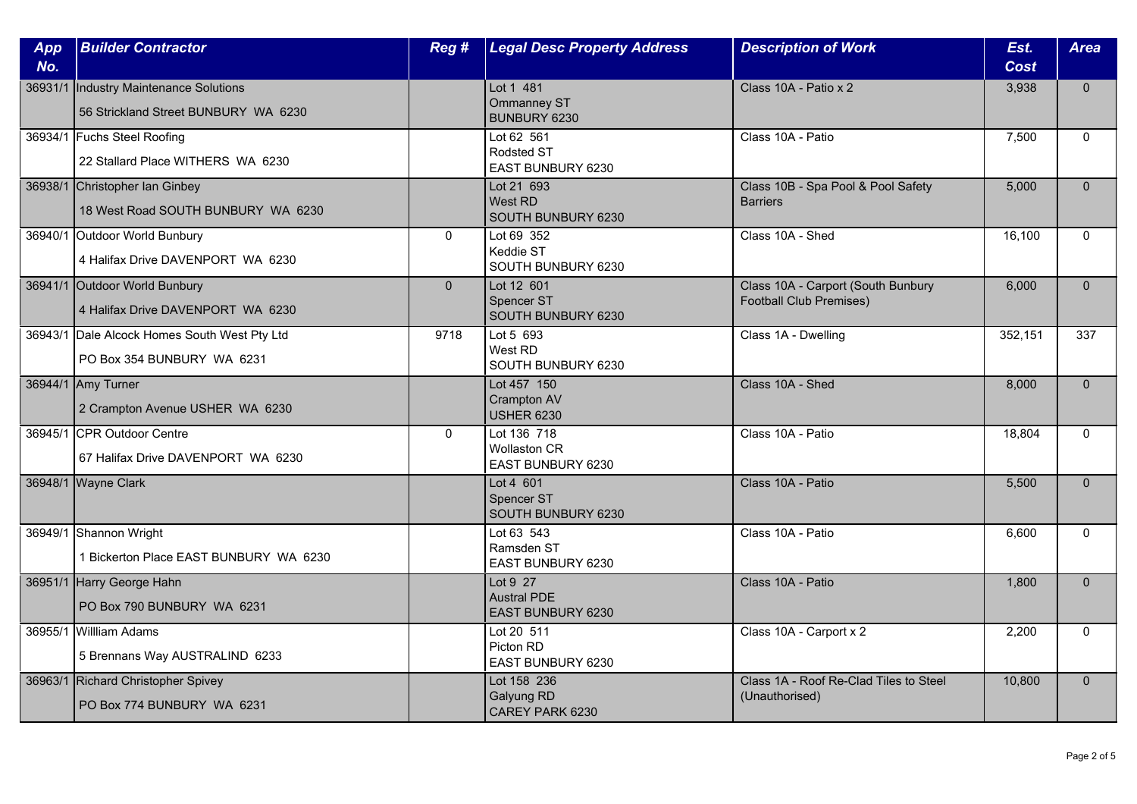| App<br>No. | <b>Builder Contractor</b>                                                  | Reg#           | <b>Legal Desc Property Address</b>                      | <b>Description of Work</b>                                    | Est.<br>Cost | <b>Area</b>  |
|------------|----------------------------------------------------------------------------|----------------|---------------------------------------------------------|---------------------------------------------------------------|--------------|--------------|
| 36931/1    | Industry Maintenance Solutions<br>56 Strickland Street BUNBURY WA 6230     |                | Lot 1 481<br>Ommanney ST<br>BUNBURY 6230                | Class 10A - Patio x 2                                         | 3,938        | $\mathbf{0}$ |
|            | 36934/1 Fuchs Steel Roofing<br>22 Stallard Place WITHERS WA 6230           |                | Lot 62 561<br>Rodsted ST<br>EAST BUNBURY 6230           | Class 10A - Patio                                             | 7,500        | $\Omega$     |
|            | 36938/1 Christopher Ian Ginbey<br>18 West Road SOUTH BUNBURY WA 6230       |                | Lot 21 693<br>West RD<br>SOUTH BUNBURY 6230             | Class 10B - Spa Pool & Pool Safety<br><b>Barriers</b>         | 5,000        | $\mathbf{0}$ |
|            | 36940/1 Outdoor World Bunbury<br>4 Halifax Drive DAVENPORT WA 6230         | $\mathbf{0}$   | Lot 69 352<br>Keddie ST<br>SOUTH BUNBURY 6230           | Class 10A - Shed                                              | 16,100       | $\mathbf{0}$ |
|            | 36941/1 Outdoor World Bunbury<br>4 Halifax Drive DAVENPORT WA 6230         | $\overline{0}$ | Lot 12 601<br><b>Spencer ST</b><br>SOUTH BUNBURY 6230   | Class 10A - Carport (South Bunbury<br>Football Club Premises) | 6,000        | $\Omega$     |
|            | 36943/1 Dale Alcock Homes South West Pty Ltd<br>PO Box 354 BUNBURY WA 6231 | 9718           | Lot 5 693<br>West RD<br>SOUTH BUNBURY 6230              | Class 1A - Dwelling                                           | 352,151      | 337          |
|            | 36944/1 Amy Turner<br>2 Crampton Avenue USHER WA 6230                      |                | Lot 457 150<br><b>Crampton AV</b><br><b>USHER 6230</b>  | Class 10A - Shed                                              | 8,000        | $\mathbf{0}$ |
|            | 36945/1 CPR Outdoor Centre<br>67 Halifax Drive DAVENPORT WA 6230           | $\mathbf{0}$   | Lot 136 718<br><b>Wollaston CR</b><br>EAST BUNBURY 6230 | Class 10A - Patio                                             | 18,804       | $\mathbf{0}$ |
|            | 36948/1 Wayne Clark                                                        |                | Lot 4 601<br>Spencer ST<br>SOUTH BUNBURY 6230           | Class 10A - Patio                                             | 5,500        | $\Omega$     |
|            | 36949/1 Shannon Wright<br>1 Bickerton Place EAST BUNBURY WA 6230           |                | Lot 63 543<br>Ramsden ST<br>EAST BUNBURY 6230           | Class 10A - Patio                                             | 6,600        | $\mathbf{0}$ |
|            | 36951/1 Harry George Hahn<br>PO Box 790 BUNBURY WA 6231                    |                | Lot 9 27<br><b>Austral PDE</b><br>EAST BUNBURY 6230     | Class 10A - Patio                                             | 1,800        | $\mathbf{0}$ |
|            | 36955/1 Willliam Adams<br>5 Brennans Way AUSTRALIND 6233                   |                | Lot $20$ 511<br>Picton RD<br>EAST BUNBURY 6230          | Class 10A - Carport x 2                                       | 2,200        | $\Omega$     |
|            | 36963/1 Richard Christopher Spivey<br>PO Box 774 BUNBURY WA 6231           |                | Lot 158 236<br>Galyung RD<br>CAREY PARK 6230            | Class 1A - Roof Re-Clad Tiles to Steel<br>(Unauthorised)      | 10,800       | $\mathbf{0}$ |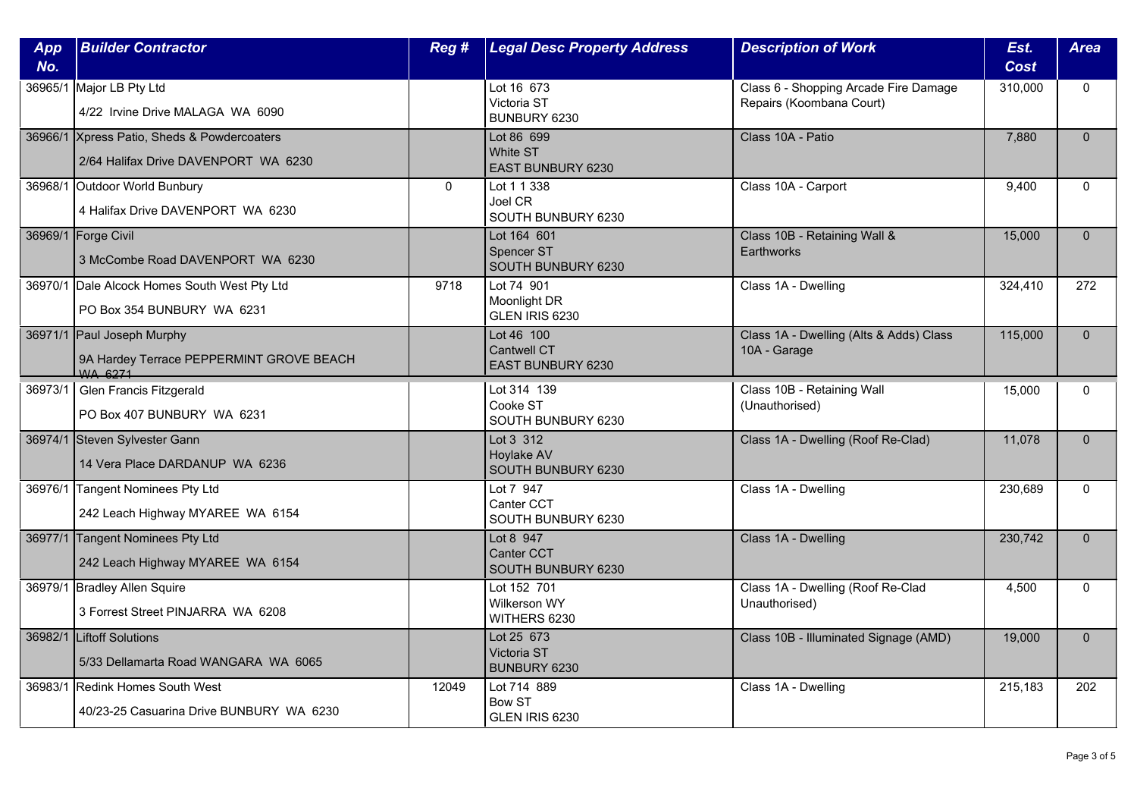| App<br>No. | <b>Builder Contractor</b>                                                           | Reg #        | <b>Legal Desc Property Address</b>                           | <b>Description of Work</b>                                        | Est.<br><b>Cost</b> | <b>Area</b>  |
|------------|-------------------------------------------------------------------------------------|--------------|--------------------------------------------------------------|-------------------------------------------------------------------|---------------------|--------------|
| 36965/1    | Major LB Pty Ltd<br>4/22 Irvine Drive MALAGA WA 6090                                |              | Lot 16 673<br>Victoria ST<br>BUNBURY 6230                    | Class 6 - Shopping Arcade Fire Damage<br>Repairs (Koombana Court) | 310,000             | $\Omega$     |
|            | 36966/1 Xpress Patio, Sheds & Powdercoaters<br>2/64 Halifax Drive DAVENPORT WA 6230 |              | Lot 86 699<br>White ST<br>EAST BUNBURY 6230                  | Class 10A - Patio                                                 | 7,880               | $\Omega$     |
|            | 36968/1 Outdoor World Bunbury<br>4 Halifax Drive DAVENPORT WA 6230                  | $\mathbf{0}$ | Lot 1 1 338<br>Joel CR<br>SOUTH BUNBURY 6230                 | Class 10A - Carport                                               | 9,400               | $\mathbf{0}$ |
|            | 36969/1 Forge Civil<br>3 McCombe Road DAVENPORT WA 6230                             |              | Lot 164 601<br>Spencer ST<br>SOUTH BUNBURY 6230              | Class 10B - Retaining Wall &<br><b>Earthworks</b>                 | 15,000              | $\mathbf{0}$ |
|            | 36970/1 Dale Alcock Homes South West Pty Ltd<br>PO Box 354 BUNBURY WA 6231          | 9718         | Lot 74 901<br>Moonlight DR<br>GLEN IRIS 6230                 | Class 1A - Dwelling                                               | 324,410             | 272          |
|            | 36971/1 Paul Joseph Murphy<br>9A Hardey Terrace PEPPERMINT GROVE BEACH<br>WA 6271   |              | Lot 46 100<br><b>Cantwell CT</b><br><b>EAST BUNBURY 6230</b> | Class 1A - Dwelling (Alts & Adds) Class<br>10A - Garage           | 115,000             | $\Omega$     |
| 36973/1    | Glen Francis Fitzgerald<br>PO Box 407 BUNBURY WA 6231                               |              | Lot 314 139<br>Cooke ST<br>SOUTH BUNBURY 6230                | Class 10B - Retaining Wall<br>(Unauthorised)                      | 15,000              | $\mathbf{0}$ |
|            | 36974/1 Steven Sylvester Gann<br>14 Vera Place DARDANUP WA 6236                     |              | Lot 3 312<br>Hoylake AV<br>SOUTH BUNBURY 6230                | Class 1A - Dwelling (Roof Re-Clad)                                | 11,078              | $\mathbf{0}$ |
|            | 36976/1 Tangent Nominees Pty Ltd<br>242 Leach Highway MYAREE WA 6154                |              | Lot 7 947<br>Canter CCT<br>SOUTH BUNBURY 6230                | Class 1A - Dwelling                                               | 230,689             | $\Omega$     |
|            | 36977/1 Tangent Nominees Pty Ltd<br>242 Leach Highway MYAREE WA 6154                |              | Lot 8 947<br><b>Canter CCT</b><br>SOUTH BUNBURY 6230         | Class 1A - Dwelling                                               | 230,742             | $\Omega$     |
|            | 36979/1 Bradley Allen Squire<br>3 Forrest Street PINJARRA WA 6208                   |              | Lot 152 701<br>Wilkerson WY<br>WITHERS 6230                  | Class 1A - Dwelling (Roof Re-Clad<br>Unauthorised)                | 4,500               | $\mathbf{0}$ |
|            | 36982/1 Liftoff Solutions<br>5/33 Dellamarta Road WANGARA WA 6065                   |              | Lot 25 673<br>Victoria ST<br>BUNBURY 6230                    | Class 10B - Illuminated Signage (AMD)                             | 19,000              | $\Omega$     |
|            | 36983/1 Redink Homes South West<br>40/23-25 Casuarina Drive BUNBURY WA 6230         | 12049        | Lot 714 889<br><b>Bow ST</b><br>GLEN IRIS 6230               | Class 1A - Dwelling                                               | 215,183             | 202          |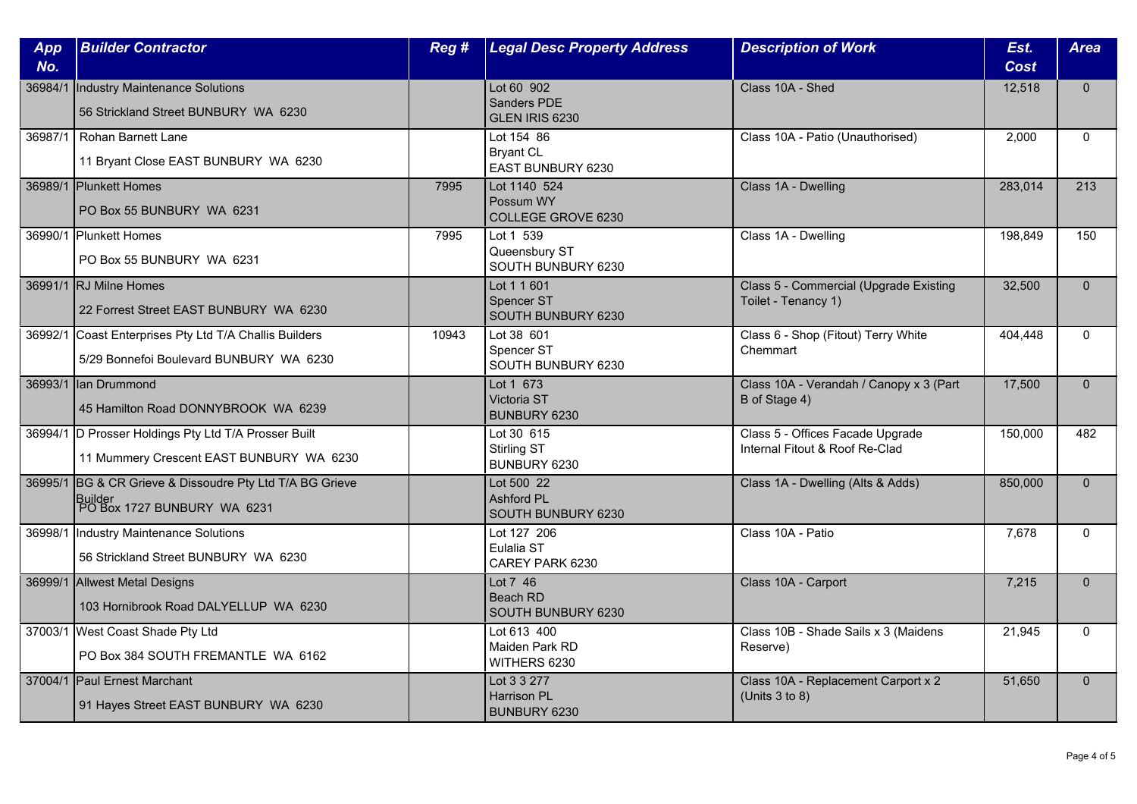| App<br>No. | <b>Builder Contractor</b>                                                                          | Reg#  | <b>Legal Desc Property Address</b>                    | <b>Description of Work</b>                                         | Est.<br><b>Cost</b> | <b>Area</b>  |
|------------|----------------------------------------------------------------------------------------------------|-------|-------------------------------------------------------|--------------------------------------------------------------------|---------------------|--------------|
| 36984/1    | Industry Maintenance Solutions<br>56 Strickland Street BUNBURY WA 6230                             |       | Lot 60 902<br>Sanders PDE<br>GLEN IRIS 6230           | Class 10A - Shed                                                   | 12,518              | $\mathbf{0}$ |
| 36987/1    | <b>Rohan Barnett Lane</b><br>11 Bryant Close EAST BUNBURY WA 6230                                  |       | Lot 154 86<br><b>Bryant CL</b><br>EAST BUNBURY 6230   | Class 10A - Patio (Unauthorised)                                   | 2.000               | $\Omega$     |
|            | 36989/1 Plunkett Homes<br>PO Box 55 BUNBURY WA 6231                                                | 7995  | Lot 1140 524<br>Possum WY<br>COLLEGE GROVE 6230       | Class 1A - Dwelling                                                | 283,014             | 213          |
|            | 36990/1 Plunkett Homes<br>PO Box 55 BUNBURY WA 6231                                                | 7995  | Lot 1 539<br>Queensbury ST<br>SOUTH BUNBURY 6230      | Class 1A - Dwelling                                                | 198,849             | 150          |
|            | 36991/1 RJ Milne Homes<br>22 Forrest Street EAST BUNBURY WA 6230                                   |       | Lot 1 1 601<br>Spencer ST<br>SOUTH BUNBURY 6230       | Class 5 - Commercial (Upgrade Existing<br>Toilet - Tenancy 1)      | 32,500              | $\Omega$     |
| 36992/1    | Coast Enterprises Pty Ltd T/A Challis Builders<br>5/29 Bonnefoi Boulevard BUNBURY WA 6230          | 10943 | Lot 38 601<br>Spencer ST<br>SOUTH BUNBURY 6230        | Class 6 - Shop (Fitout) Terry White<br>Chemmart                    | 404,448             | $\Omega$     |
|            | 36993/1 Ian Drummond<br>45 Hamilton Road DONNYBROOK WA 6239                                        |       | Lot 1 673<br>Victoria ST<br>BUNBURY 6230              | Class 10A - Verandah / Canopy x 3 (Part<br>B of Stage 4)           | 17,500              | $\mathbf{0}$ |
|            | 36994/1 D Prosser Holdings Pty Ltd T/A Prosser Built<br>11 Mummery Crescent EAST BUNBURY WA 6230   |       | Lot 30 615<br>Stirling ST<br>BUNBURY 6230             | Class 5 - Offices Facade Upgrade<br>Internal Fitout & Roof Re-Clad | 150,000             | 482          |
|            | 36995/1 BG & CR Grieve & Dissoudre Pty Ltd T/A BG Grieve<br>Builder<br>PO Box 1727 BUNBURY WA 6231 |       | Lot 500 22<br><b>Ashford PL</b><br>SOUTH BUNBURY 6230 | Class 1A - Dwelling (Alts & Adds)                                  | 850,000             | $\Omega$     |
| 36998/1    | <b>Industry Maintenance Solutions</b><br>56 Strickland Street BUNBURY WA 6230                      |       | Lot 127 206<br>Eulalia ST<br>CAREY PARK 6230          | Class 10A - Patio                                                  | 7,678               | $\mathbf{0}$ |
|            | 36999/1 Allwest Metal Designs<br>103 Hornibrook Road DALYELLUP WA 6230                             |       | Lot 7 46<br>Beach RD<br>SOUTH BUNBURY 6230            | Class 10A - Carport                                                | 7,215               | $\mathbf{0}$ |
|            | 37003/1 West Coast Shade Pty Ltd<br>PO Box 384 SOUTH FREMANTLE WA 6162                             |       | Lot 613 400<br>Maiden Park RD<br>WITHERS 6230         | Class 10B - Shade Sails x 3 (Maidens<br>Reserve)                   | 21,945              | $\Omega$     |
|            | 37004/1 Paul Ernest Marchant<br>91 Hayes Street EAST BUNBURY WA 6230                               |       | Lot 3 3 277<br><b>Harrison PL</b><br>BUNBURY 6230     | Class 10A - Replacement Carport x 2<br>(Units $3$ to $8$ )         | 51,650              | $\mathbf{0}$ |